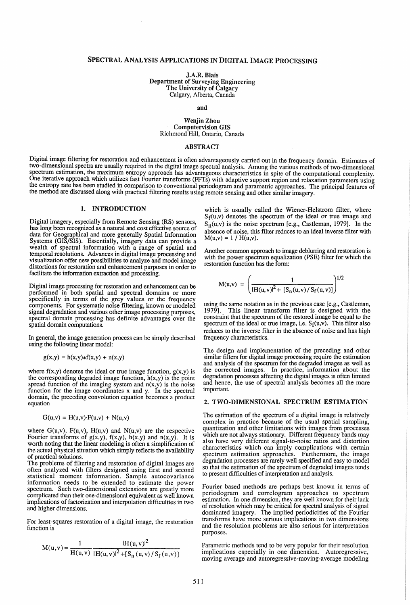# SPECTRAL ANALYSIS ApPLICATIONS IN DIGITAL IMAGE PROCESSING

J.A.R. Blais Department of Surveying Engineering The University of Calgary Calgary, Alberta, Canada

and

### Wenjin Zhou Computervision GIS Richmond Hill, Ontario, Canada

## ABSTRACT

Digital image filtering for restoration and enhancement is often advantageously carried out in the frequency domain. Estimates of two-dimensional spectra are usually required in the digital image spectral analysis. Among the various methods of two-dimensional spectrum estimation, the maximum entropy approach has advantageous characteristics in spite of the computational complexity. One iterative approach which utilizes fast Fourier transforms (FFTs) with adaptive support region and relaxation parameters using the entropy rate has been studied in comparison to conventional periodogram and parametric approaches. The principal features of the method are discussed along with practical filtering results using remote sensing and other similar imagery.

# 1. INTRODUCTION

Digital imagery, especially from Remote Sensing (RS) sensors, has long been recognized as a natural and cost effective source of data for Geographical and more generally Spatial Information Systems (GIS/SIS). Essentially, imagery data can provide a wealth of spectral information with a range of spatial and temporal resolutions. Advances in digital image processing and visualization offer new possibilities to analyze and model image distortions for restoration and enhancement purposes in order to facilitate the information extraction and processing.

Digital image processing for restoration and enhancement can be performed in both spatial and spectral domains or more specifically in terms of the grey values or the frequency components. For systematic noise filtering, known or modeled signal degradation and various other image processing purposes, spectral domain processing has definite advantages over the spatial domain computations.

In general, the image generation process can be simply described using the following linear model:

$$
g(x,y) = h(x,y) * f(x,y) + n(x,y)
$$

where  $f(x,y)$  denotes the ideal or true image function,  $g(x,y)$  is the corresponding degraded image function,  $h(x,y)$  is the point spread function of the imaging system and  $n(x,y)$  is the noise function for the image coordinates  $x$  and  $y$ . In the spectral domain, the preceding convolution equation becomes a product equation

$$
G(u,v) = H(u,v) \cdot F(u,v) + N(u,v)
$$

where  $G(u,v)$ ,  $F(u,v)$ ,  $H(u,v)$  and  $N(u,v)$  are the respective Fourier transforms of  $g(x,y)$ ,  $f(x,y)$ ,  $h(x,y)$  and  $n(x,y)$ . It is worth noting that the linear modeling is often a simplification of the actual physical situation which simply reflects the availability of practical solutions.

The problems of filtering and restoration of digital images are often analyzed with filters designed using first and second statistical moment information. Sample autocovariance information needs to be extended to estimate the power spectrum. Such two-dimensional extensions are greatly more complicated than their one-dimensional equivalent as well known implications of factorization and interpolation difficulties in two and higher dimensions.

For least-squares restoration of a digital image, the restoration function is

$$
M(u, v) = \frac{1}{H(u, v)} \frac{|H(u, v)|^2}{|H(u, v)|^2 + [S_n(u, v) / S_f(u, v)]}
$$

which is usually called the Wiener-Helstrom filter, where  $S_f(u,v)$  denotes the spectrum of the ideal or true image and  $S_n(u,v)$  is the noise spectrum [e.g., Castleman, 1979]. In the absence of noise, this filter reduces to an ideal inverse fIlter with  $M(u,v) = 1 / H(u,v)$ .

Another common approach to image deblurring and restoration is with the power spectrum equalization (PSE) filter for which the restoration function has the form:

$$
M(u,v) = \left(\frac{1}{|H(u,v)|^2 + [S_n(u,v)/S_f(u,v)]}\right)^{1/2}
$$

using the same notation as in the previous case [e.g., Castleman, This linear transform filter is designed with the constraint that the spectrum of the restored image be equal to the spectrum of the ideal or true image, i.e.  $S_f(u,v)$ . This filter also reduces to the inverse filter in the absence of noise and has high frequency characteristics.

The design and implementation of the preceding and other similar filters for digital image processing require the estimation and analysis of the spectrum for the degraded images as well as the corrected images. In practice, information about the degradation processes affecting the digital images is often limited and hence, the use of spectral analysis becomes all the more important.

## 2. TWO-DIMENSIONAL SPECTRUM ESTIMATION

The estimation of the spectrum of a digital image is relatively complex in practice because of the usual spatial sampling, quantization and other limitations with images from processes which are not always stationary. Different frequency bands may also have very different signal-to-noise ratios and distortion characteristics which can imply complications with certain spectrum estimation approaches. Furthermore, the image degradation processes are rarely well specified and easy to model so that the estimation of the spectrum of degraded images tends to present difficulties of interpretation and analysis.

Fourier based methods are perhaps best known in terms of periodogram and correlogram approaches to spectrum estimation. In one dimension, they are well known for their lack of resolution which may be critical for spectral analysis of signal dominated imagery. The implied periodicities of the Fourier transforms have more serious implications in two dimensions and the resolution problems are also serious for interpretation purposes.

Parametric methods tend to be very popular for their resolution implications especially in one dimension. Autoregressive, moving average and autoregressive-moving-average modeling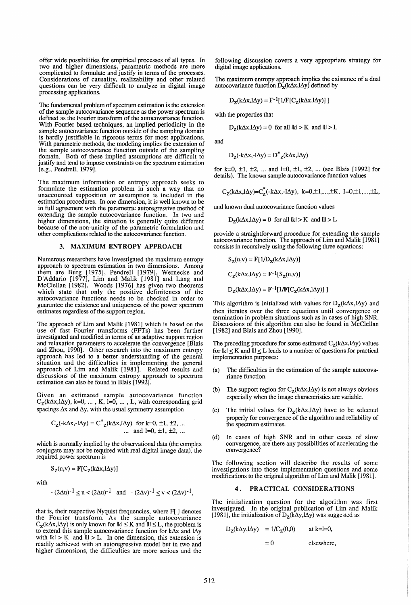offer wide possibilities for empirical processes of all types. In two and higher dimensions, parametric methods are more complicated to formulate and justify in terms of the processes. Considerations of causality, realizability and other related questions can be very difficult to analyze in digital image processing applications.

The fundamental problem of spectrum estimation is the extension of the sample autocovariance sequence as the power spectrum is defined as the Fourier transform of the autocovariance function. With Fourier based techniques, an implied periodicity in the sample autocovariance function outside of the sampling domain is hardly justifiable in rigorous terms for most applications. With parametric methods, the modeling implies the extension of the sample autocovariance function outside of the sampling domain. Both of these implied assumptions are difficult to justify and tend to impose constraints on the spectrum estimation [e.g., Pendrell, 1979].

The maximum information or entropy approach seeks to formulate the estimation problem in such a way that no unaccounted supposition or assumption is included in the estimation procedures. In one dimension, it is well known to be in full agreement with the parametric autoregressive method of extending the sample autocovariance function. In two and higher dimensions, the situation is generally quite different because of the non-unicity of the parametric formulation and other complications related to the autocovariance function.

#### 3. MAXIMUM ENTROPY APPROACH

Numerous researchers have investigated the maximum entropy approach to spectrum estimation in two dimensions. Among them are Burg [1975], Pendrell [1979], Wernecke and D'Addario [1977], Lim and Malik [1981] and Lang and McClellan [1982]. Woods [1976] has given two theorems which state that only the positive definiteness of the autocovariance functions needs to be checked in order to guarantee the existence and uniqueness of the power spectrum estimates regardless of the support region.

The approach of Lim and Malik [1981] which is based on the use of fast Fourier transforms (FFTs) has been further investigated and modified in terms of an adaptive support region and relaxation parameters to accelerate the convergence [Blais and Zhou, 1990]. Other research into the maximum entropy approach has led to a better understanding of the general situation and the difficulties in implementing the general approach of Lim and Malik [1981]. Related results and discussions of the maximum entropy approach to spectrum estimation can also be found in Blais [1992].

Given an estimated sample autocovariance function  $C_{z}(k\Delta x, l\Delta y)$ , k=0, ..., K, l=0, ..., L, with corresponding grid spacings  $\Delta x$  and  $\Delta y$ , with the usual symmetry assumption

$$
C_z(\text{-}k\Delta x, -1\Delta y) = C^*_{z}(k\Delta x, 1\Delta y)
$$
 for k=0, ±1, ±2, ...  
.... and l=0, ±1, ±2, ...

which is normally implied by the observational data (the complex conjugate may not be required with real digital image data), the required power spectrum is

$$
S_Z(u,v) = F[C_Z(k\Delta x, l\Delta y)]
$$

with

$$
-(2\Delta u)^{-1} \le u < (2\Delta u)^{-1}
$$
 and  $-(2\Delta v)^{-1} \le v < (2\Delta v)^{-1}$ ,

that is, their respective Nyquist frequencies, where F[ ] denotes the Fourier transform. As the sample autocovariance  $C_{\mathbf{Z}}(k\Delta x, l\Delta y)$  is only known for  $|k| \le K$  and  $|l| \le L$ , the problem is to extend this sample autocovariance function for  $k\Delta x$  and  $l\Delta y$ with  $|k| > K$  and  $|l| > L$ . In one dimension, this extension is readily achieved with an autoregressive model but in two and higher dimensions, the difficulties are more serious and the

following discussion covers a very appropriate strategy for digital image applications.

The maximum entropy approach implies the existence of a dual autocovariance function  $\overline{D}_z(k\Delta x, l\Delta y)$  defined by

$$
D_{z}(k\Delta x, l\Delta y) = F^{-1}[1/F[C_{z}(k\Delta x, l\Delta y)]]
$$

with the properties that

$$
D_{z}(k\Delta x, l\Delta y) = 0 \text{ for all } |k| > K \text{ and } |l| > L
$$

and

$$
D_{Z}(-k\Delta x, -l\Delta y) = D^*_{Z}(k\Delta x, l\Delta y)
$$

for k=0,  $\pm$ 1,  $\pm$ 2, ... and l=0,  $\pm$ 1,  $\pm$ 2, ... (see Blais [1992] for details). The known sample autocovariance function values

$$
C_z(k\Delta x, l\Delta y) = C_z^{\dagger}(-k\Delta x, -l\Delta y), k = 0, \pm 1, ..., \pm K, l = 0, \pm 1, ..., \pm L,
$$

and known dual autocovariance function values

 $D_{z}(k\Delta x, l\Delta y) = 0$  for all  $|k| > K$  and  $|l| > L$ 

provide a straightforward procedure for extending the sample autocovariance function. The approach of Lim and Malik [1981] consists in recursively using the following three equations:

$$
S_{Z}(u,v) = F[1/D_{Z}(k\Delta x, i\Delta y)]
$$
  
\n
$$
C_{Z}(k\Delta x, i\Delta y) = F^{-1}[S_{Z}(u,v)]
$$
  
\n
$$
D_{Z}(k\Delta x, i\Delta y) = F^{-1}[1/F[C_{Z}(k\Delta x, i\Delta y)]]
$$

This algorithm is initialized with values for  $D_z(k\Delta x, l\Delta y)$  and then iterates over the three equations until convergence or termination in problem situations such as in cases of high SNR. Discussions of this algorithm can also be found in McClellan [1982] and Blais and Zhou [1990].

The preceding procedure for some estimated  $C_z(k\Delta x, l\Delta y)$  values for  $|k| \le K$  and  $|l| \le L$  leads to a number of questions for practical implementation purposes:

- (a) The difficulties in the estimation of the sample autocovariance function.
- (b) The support region for  $C_z(k\Delta x, l\Delta y)$  is not always obvious especially when the image characteristics are variable.
- (c) The initial values for  $D_z(k\Delta x, l\Delta y)$  have to be selected properly for convergence of the algorithm and reliability of the spectrum estimates.
- (d) In cases of high SNR and in other cases of slow convergence, are there any possibilities of accelerating the convergence?

The following section will describe the results of some investigations into those implementation questions and some modifications to the original algorithm of Lim and Malik [1981].

### 4. PRACTICAL CONSIDERATIONS

The initialization question for the algorithm was first investigated. In the original publication of Lim and Malik [1981], the initialization of  $D_z(k\Delta y, l\Delta y)$  was suggested as

$$
D_Z(k\Delta y, l\Delta y) = 1/C_Z(0,0) \quad \text{at } k=l=0,
$$

 $=0$ 

elsewhere,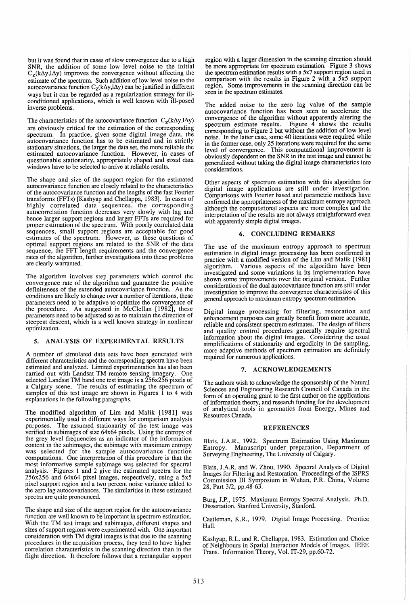but it was found that in cases of slow convergence due to a high SNR, the addition of some low level noise to the initial  $C_{z}(k\Delta y, l\Delta y)$  improves the convergence without affecting the estimate of the spectrum. Such addition of low level noise to the autocovariance function  $C_z(k\Delta y, l\Delta y)$  can be justified in different ways but it can be regarded as a regularization strategy for illconditioned applications, which is well known WIth Ill-posed inverse problems.

The characteristics of the autocovariance function  $C_z(k\Delta y, l\Delta y)$ are obviously critical for the estimation of the corresponding spectrum. In practice, given some digital image data, the autocovariance function has to be estimated and in strictly stationary situations, the larger the data set, the more reliable the estimated autocovariance function. However, in cases of questionable stationarity, appropriately shaped and sized data windows have to be selected to arrive at reliable results.

The shape and size of the support region for the estimated autocovariance function are closely related to the characteristics of the autocovariance function and the lengths of the fast Fourier transforms (FFTs) [Kashyap and Chellappa, 1983]. In cases of highly correlated data sequences, the corresponding autocorrelation function decreases very slowly WIth lag and hence larger support regions and larger FFTs are required for proper estimation of the spectrum. With poorly correlated data sequences, small support regions are acceptable for good estimates of the spectrum. However, as these questions of optimal support regions are related to the SNR of the data sequence, the FFT length requirements and the convergence rates of the algorithm, further investigations into these problems are clearly warranted.

The algorithm involves step parameters which control the convergence rate of the algorithm and guarantee the positive definiteness of the extended autocovariance function. As the conditions are likely to change over a number of iterations, these parameters need to be adaptive to optimize the convergence of the procedure. As suggested in McClellan [1982], these parameters need to be adjusted so as to maintain the direction of steepest descent, which is a well known strategy in nonlinear optimization.

# 5. ANALYSIS OF EXPERIMENTAL RESULTS

A number of simulated data sets have been generated with different characteristics and the corresponding spectra have been estimated and analyzed. Limited experimentation has also been carried out with Landsat TM remote sensing imagery. One selected Landsat TM band one test image is a 256x256 pixels of a Calgary scene. The results of estimating the spectrum of samples of this test image are shown in Figures  $\hat{1}$  to 4 with explanations in the following paragraphs.

The modified algorithm of Lim and Malik [1981] was experimentally used in different ways for comparison analysis purposes. The assumed stationarity of the test image was verified in subimages of size 64x64 pixels. Using the entropy of the grey level frequencies as an indicator of the information content in the subimages, the subimage with maximum entropy was selected for the sample autocovariance function computations. One interpretation of this procedure is that the most informative sample subimage was selected for spectral analysis. Figures 1 and 2 give the estimated spectra for the 256x256 and 64x64 pixel images, respectively, using a 5x5 pixel support region and a two percent noise variance added to the zero lag autocovariances. The similarities in these estimated spectra are quite pronounced.

The shape and size of the support region for the autocovariance function are well known to be important in spectrum estimation. With the TM test image and subimages, different shapes and sizes of support regions were experimented with. One important consideration with TM digital images is that due to the scanning procedures in the acquisition process, they tend to have higher correlation characteristics in the scanning direction than in the flight direction. It therefore follows that a rectangular support

region with a larger dimension in the scanning direction should be more appropriate for spectrum estimation. Figure 3 shows the spectrum estimation results with a 5x7 support region used in comparison with the results in Figure 2 with a  $5x5$  support region. Some improvements in the scanning direction can be seen in the spectrum estimates.

The added noise to the zero lag value of the sample autocovariance function has been seen to accelerate the convergence of the algorithm without apparently altering the  $spectrum$  estimate results. Figure  $\overline{4}$  shows the results corresponding to Figure 2 but without the addition of low level noise. In the latter case, some 40 iterations were required while in the former case, only 25 iterations were required for the same level of convergence. This computational improvement is obviously dependent on the SNR in the test image and cannot be generalized without taking the digital image characteristics into considerations.

Other aspects of spectrum estimation with this algorithm for digital image applications are still under investigation. Comparisons with Fourier based and parametric methods have confirmed the appropriateness of the maximum entropy approach although the computational aspects are more complex and the interpretation of the results are not always straightforward even with apparently simple digital images.

#### 6. CONCLUDING REMARKS

The use of the maximum entropy approach to spectrum estimation in digital image processing has been confirmed in practice with a modified version of the Lim and Malik [1981] algorithm. Various aspects of the algorithm have been investigated and some variations in its implementation have shown some improvements over the original version. Further considerations of the dual autocovariance function are still under investigation to improve the convergence characteristics of this general approach to maximum entropy spectrum estimation.

Digital image processing for filtering, restoration and enhancement purposes can greatly benefit from more accurate, reliable and consistent spectrum estimates. The design of filters and quality control procedures generally require spectral information about the digital images. Considering the usual simplifications of stationarity and ergodicity in the sampling, more adaptive methods of spectrum estimation are definitely required for numerous applications.

### 7. ACKNOWLEDGEMENTS

The authors wish to acknowledge the sponsorship of the Natural Sciences and Engineering Research Council of Canada in the form of an operating grant to the first author on the applications of information theory, and research funding for the development of analytical tools in geomatics from Energy, Mmes and Resources Canada.

#### REFERENCES

Blais, J.A.R., 1992. Spectrum Estimation Using Maximum Entropy. Manuscript under preparation, Department of Surveying Engineering, The University of Calgary.

Blais, lA.R. and W. Zhou, 1990. Spectral Analysis of Digital Images for Filtering and Restoration. Proceedings of the ISPRS Commission III Symposium in Wuhan, P.R. China, Volume 28, Part 3/2, pp,48-63.

Burg, J.P., 1975. Maximum Entropy Spectral Analysis. Ph.D. Dissertation, Stanford University, Stanford.

Castleman, K.R., 1979. Digital Image Processing. Prentice Hall.

Kashyap, R.L. and R. Chellappa, 1983. Estimation and Choice of Neighbours in Spatial Interaction Models of Images. IEEE Trans. Information Theory, Vol. IT-29, pp.60-72.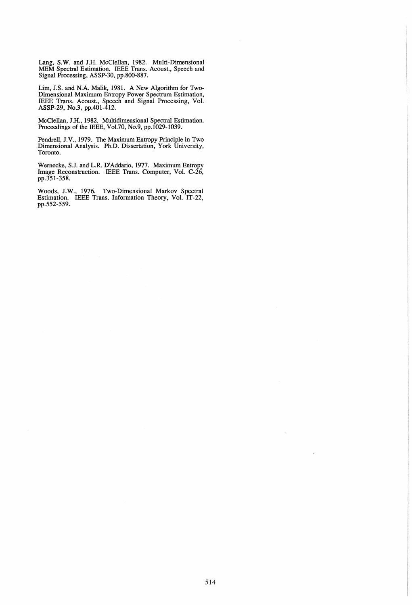Lang, S.W. and J.H. McClellan, 1982. Multi-Dimensional MEM Spectral Estimation. IEEE Trans. Acoust., Speech and Signal Processing, ASSP-30, pp.800-887.

Lim, J.S. and N.A. Malik, 1981. A New Algorithm for Two-Dimensional Maximum Entropy Power Spectrum Estimation, IEEE Trans. Acoust., Speech and Signal Processing, Vol. ASSP-29, No.3, pp.401-412.

McClellan, J.H., 1982. Multidimensional Spectral Estimation. Proceedings of the IEEE, Vo1.70, No.9, pp.l029-1039.

Pendrell, J.V., 1979. The Maximum Entropy Principle in Two Dimensional Analysis. Ph.D. Dissertation, York University, Toronto.

Wernecke, S.J. and L.R. D'Addarlo, 1977. Maximum Entropy Image Reconstruction. IEEE Trans. Computer, Vol. C-26, pp.351-358.

Woods, J.W., 1976. Two-Dimensional Markov Spectral Estimation. IEEE Trans. Information Theory, Vol. IT-22, pp.552-559.